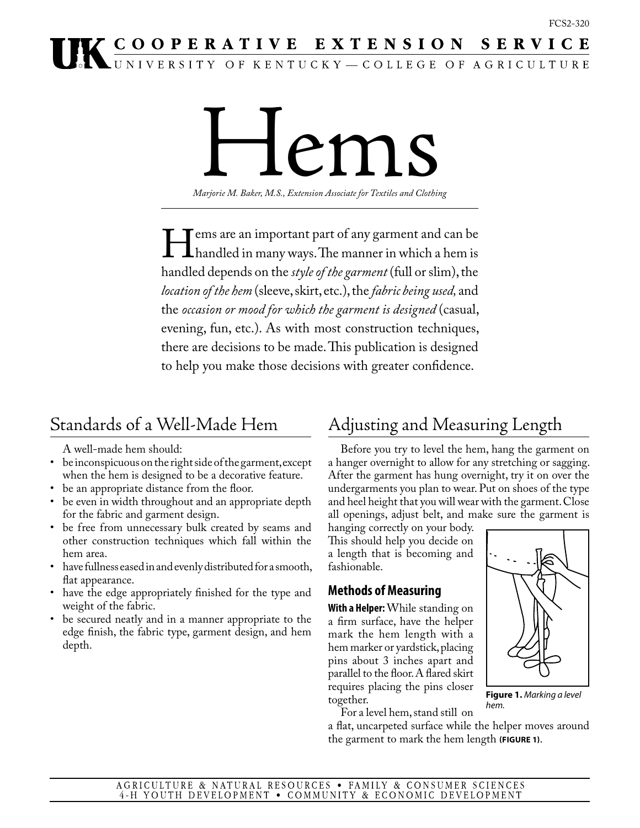# **IK COOPERATIVE EXTENSION SERVICE**

Hems

*Marjorie M. Baker, M.S., Extension Associate for Textiles and Clothing*

ems are an important part of any garment and can be<br>handled in many ways. The manner in which a hem is<br>handled depends on the *style of the garment* (full or slim), the handled in many ways. The manner in which a hem is handled depends on the *style of the garment* (full or slim), the *location of the hem* (sleeve, skirt, etc.), the *fabric being used,* and the *occasion or mood for which the garment is designed* (casual, evening, fun, etc.). As with most construction techniques, there are decisions to be made. This publication is designed to help you make those decisions with greater confidence.

# Standards of a Well-Made Hem

A well-made hem should:

- be inconspicuous on the right side of the garment, except when the hem is designed to be a decorative feature.
- be an appropriate distance from the floor.<br>• be even in width throughout and an appro
- be even in width throughout and an appropriate depth for the fabric and garment design.
- be free from unnecessary bulk created by seams and other construction techniques which fall within the hem area.
- have fullness eased in and evenly distributed for a smooth, flat appearance.
- have the edge appropriately finished for the type and weight of the fabric.
- be secured neatly and in a manner appropriate to the edge finish, the fabric type, garment design, and hem depth.

# Adjusting and Measuring Length

Before you try to level the hem, hang the garment on a hanger overnight to allow for any stretching or sagging. After the garment has hung overnight, try it on over the undergarments you plan to wear. Put on shoes of the type and heel height that you will wear with the garment. Close all openings, adjust belt, and make sure the garment is

hanging correctly on your body. This should help you decide on a length that is becoming and fashionable.

# **Methods of Measuring**

**With a Helper:** While standing on a firm surface, have the helper mark the hem length with a hem marker or yardstick, placing pins about 3 inches apart and parallel to the floor. A flared skirt requires placing the pins closer together.



a flat, uncarpeted surface while the helper moves around the garment to mark the hem length **(Figure 1)**.

*hem.*

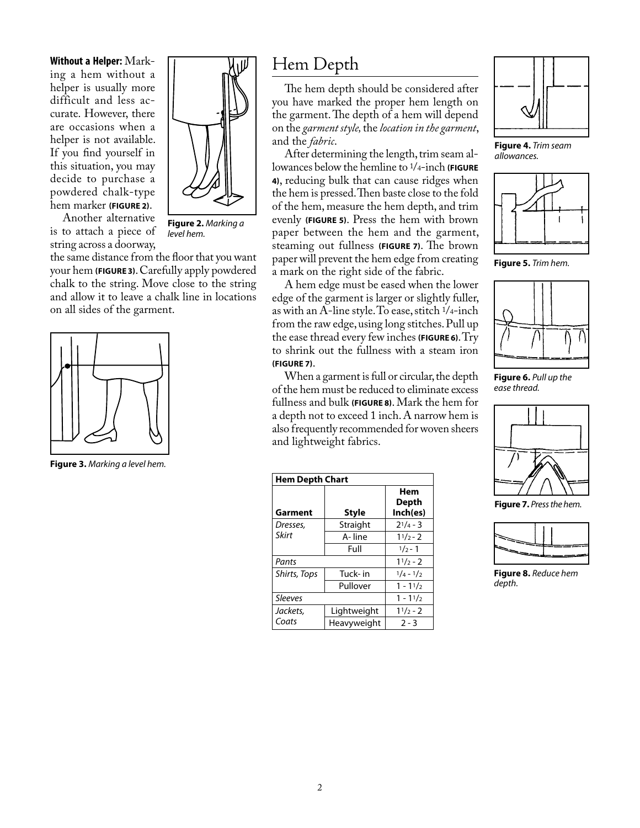**Without a Helper:** Marking a hem without a helper is usually more difficult and less accurate. However, there are occasions when a helper is not available. If you find yourself in this situation, you may decide to purchase a powdered chalk-type hem marker **(Figure 2)**.



Another alternative is to attach a piece of string across a doorway,

**Figure 2.** *Marking a level hem.*

the same distance from the floor that you want your hem **(Figure 3)**. Carefully apply powdered chalk to the string. Move close to the string and allow it to leave a chalk line in locations on all sides of the garment.



**Figure 3.** *Marking a level hem.*

# Hem Depth

The hem depth should be considered after you have marked the proper hem length on the garment. The depth of a hem will depend on the *garment style,* the *location in the garment*, and the *fabric*.

After determining the length, trim seam allowances below the hemline to 1/4-inch **(Figure 4)**, reducing bulk that can cause ridges when the hem is pressed. Then baste close to the fold of the hem, measure the hem depth, and trim evenly **(Figure 5)**. Press the hem with brown paper between the hem and the garment, steaming out fullness **(Figure 7)**. The brown paper will prevent the hem edge from creating a mark on the right side of the fabric.

A hem edge must be eased when the lower edge of the garment is larger or slightly fuller, as with an A-line style. To ease, stitch 1/4-inch from the raw edge, using long stitches. Pull up the ease thread every few inches **(Figure 6)**. Try to shrink out the fullness with a steam iron **(Figure 7)**.

When a garment is full or circular, the depth of the hem must be reduced to eliminate excess fullness and bulk **(Figure 8)**. Mark the hem for a depth not to exceed 1 inch. A narrow hem is also frequently recommended for woven sheers and lightweight fabrics.

| <b>Hem Depth Chart</b> |             |                          |
|------------------------|-------------|--------------------------|
| Garment                | Style       | Hem<br>Depth<br>Inch(es) |
| Dresses,               | Straight    | $2^{1/4} - 3$            |
| Skirt                  | A-line      | $11/2 - 2$               |
|                        | Full        | $1/2 - 1$                |
| Pants                  |             | $11/2 - 2$               |
| Shirts, Tops           | Tuck- in    | $1/4 - 1/2$              |
|                        | Pullover    | $1 - 11/2$               |
| <b>Sleeves</b>         |             | $1 - 11/2$               |
| Jackets.               | Lightweight | $11/2 - 2$               |
| Coats                  | Heavyweight | $2 - 3$                  |



**Figure 4.** *Trim seam allowances.*



**Figure 5.** *Trim hem.*



**Figure 6.** *Pull up the ease thread.*



**Figure 7.** *Press the hem.*



**Figure 8.** *Reduce hem depth.*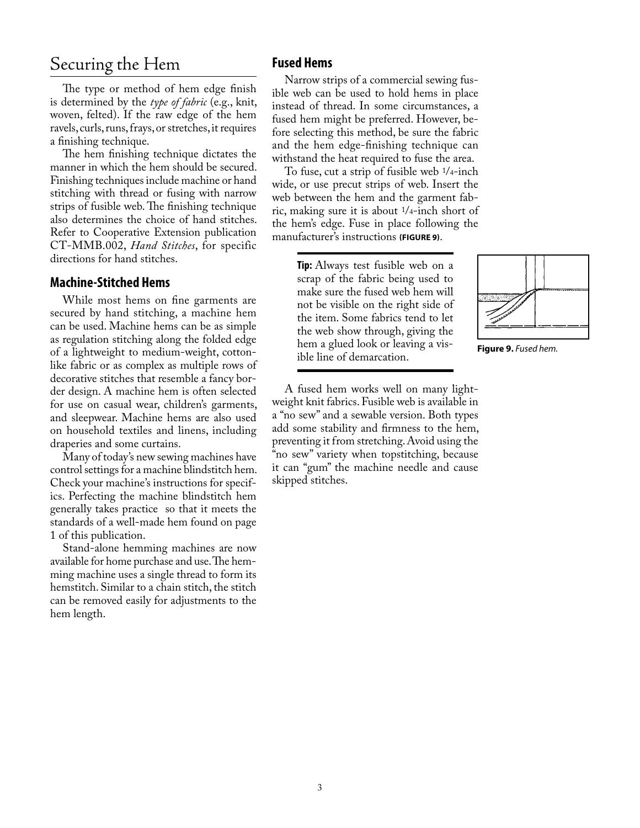# Securing the Hem

The type or method of hem edge finish is determined by the *type of fabric* (e.g., knit, woven, felted). If the raw edge of the hem ravels, curls, runs, frays, or stretches, it requires a finishing technique.

The hem finishing technique dictates the manner in which the hem should be secured. Finishing techniques include machine or hand stitching with thread or fusing with narrow strips of fusible web. The finishing technique also determines the choice of hand stitches. Refer to Cooperative Extension publication CT-MMB.002, *Hand Stitches*, for specific directions for hand stitches.

## **Machine-Stitched Hems**

While most hems on fine garments are secured by hand stitching, a machine hem can be used. Machine hems can be as simple as regulation stitching along the folded edge of a lightweight to medium-weight, cottonlike fabric or as complex as multiple rows of decorative stitches that resemble a fancy border design. A machine hem is often selected for use on casual wear, children's garments, and sleepwear. Machine hems are also used on household textiles and linens, including draperies and some curtains.

Many of today's new sewing machines have control settings for a machine blindstitch hem. Check your machine's instructions for specifics. Perfecting the machine blindstitch hem generally takes practice so that it meets the standards of a well-made hem found on page 1 of this publication.

Stand-alone hemming machines are now available for home purchase and use. The hemming machine uses a single thread to form its hemstitch. Similar to a chain stitch, the stitch can be removed easily for adjustments to the hem length.

## **Fused Hems**

Narrow strips of a commercial sewing fusible web can be used to hold hems in place instead of thread. In some circumstances, a fused hem might be preferred. However, before selecting this method, be sure the fabric and the hem edge-finishing technique can withstand the heat required to fuse the area.

To fuse, cut a strip of fusible web 1/4-inch wide, or use precut strips of web. Insert the web between the hem and the garment fabric, making sure it is about 1/4-inch short of the hem's edge. Fuse in place following the manufacturer's instructions **(Figure 9)**.

> **Tip:** Always test fusible web on a scrap of the fabric being used to make sure the fused web hem will not be visible on the right side of the item. Some fabrics tend to let the web show through, giving the hem a glued look or leaving a visible line of demarcation.



**Figure 9.** *Fused hem.*

A fused hem works well on many lightweight knit fabrics. Fusible web is available in a "no sew" and a sewable version. Both types add some stability and firmness to the hem, preventing it from stretching. Avoid using the "no sew" variety when topstitching, because it can "gum" the machine needle and cause skipped stitches.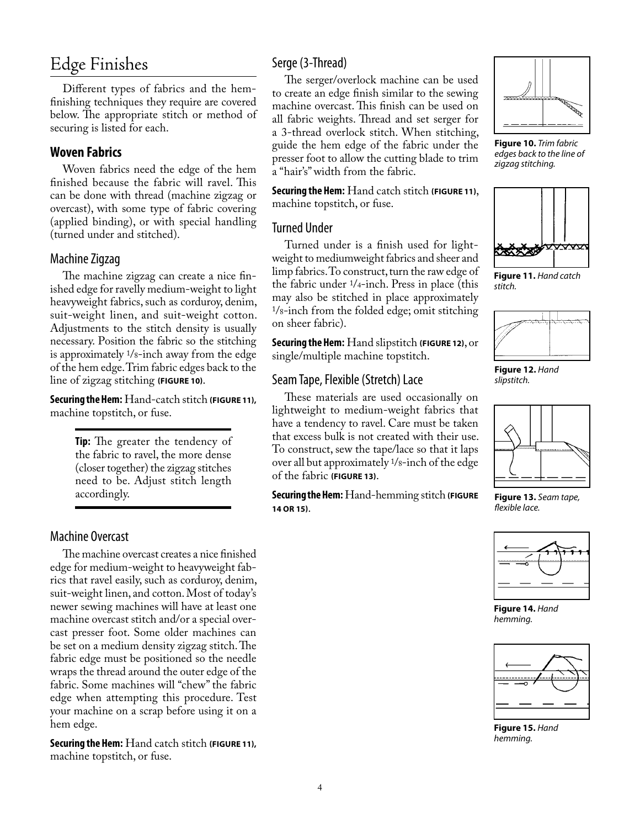# Edge Finishes

Different types of fabrics and the hemfinishing techniques they require are covered below. The appropriate stitch or method of securing is listed for each.

# **Woven Fabrics**

Woven fabrics need the edge of the hem finished because the fabric will ravel. This can be done with thread (machine zigzag or overcast), with some type of fabric covering (applied binding), or with special handling (turned under and stitched).

## Machine Zigzag

The machine zigzag can create a nice finished edge for ravelly medium-weight to light heavyweight fabrics, such as corduroy, denim, suit-weight linen, and suit-weight cotton. Adjustments to the stitch density is usually necessary. Position the fabric so the stitching is approximately 1/8-inch away from the edge of the hem edge. Trim fabric edges back to the line of zigzag stitching **(Figure 10)**.

**Securing the Hem:** Hand-catch stitch **(Figure 11),** machine topstitch, or fuse.

> **Tip:** The greater the tendency of the fabric to ravel, the more dense (closer together) the zigzag stitches need to be. Adjust stitch length accordingly.

## Machine Overcast

The machine overcast creates a nice finished edge for medium-weight to heavyweight fabrics that ravel easily, such as corduroy, denim, suit-weight linen, and cotton. Most of today's newer sewing machines will have at least one machine overcast stitch and/or a special overcast presser foot. Some older machines can be set on a medium density zigzag stitch. The fabric edge must be positioned so the needle wraps the thread around the outer edge of the fabric. Some machines will "chew" the fabric edge when attempting this procedure. Test your machine on a scrap before using it on a hem edge.

**Securing the Hem:** Hand catch stitch **(Figure 11),** machine topstitch, or fuse.

# Serge (3-Thread)

The serger/overlock machine can be used to create an edge finish similar to the sewing machine overcast. This finish can be used on all fabric weights. Thread and set serger for a 3-thread overlock stitch. When stitching, guide the hem edge of the fabric under the presser foot to allow the cutting blade to trim a "hair's" width from the fabric.

**Securing the Hem:** Hand catch stitch **(Figure 11)**, machine topstitch, or fuse.

#### Turned Under

Turned under is a finish used for lightweight to mediumweight fabrics and sheer and limp fabrics. To construct, turn the raw edge of the fabric under 1/4-inch. Press in place (this may also be stitched in place approximately 1/8-inch from the folded edge; omit stitching on sheer fabric).

**Securing the Hem:** Hand slipstitch **(Figure 12)**, or single/multiple machine topstitch.

## Seam Tape, Flexible (Stretch) Lace

These materials are used occasionally on lightweight to medium-weight fabrics that have a tendency to ravel. Care must be taken that excess bulk is not created with their use. To construct, sew the tape/lace so that it laps over all but approximately 1/8-inch of the edge of the fabric **(Figure 13)**.

**Securing the Hem:** Hand-hemming stitch **(Figure 14 or 15)**.



**Figure 10.** *Trim fabric edges back to the line of zigzag stitching.*



**Figure 11.** *Hand catch stitch.*



**Figure 12.** *Hand slipstitch.*



**Figure 13.** *Seam tape, flexible lace.*



**Figure 14.** *Hand hemming.*



**Figure 15.** *Hand hemming.*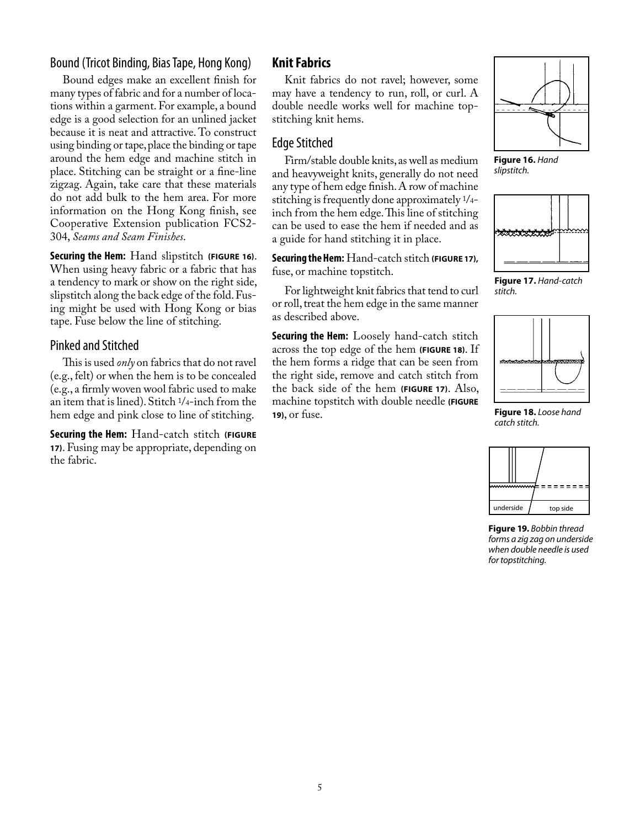## Bound (Tricot Binding, Bias Tape, Hong Kong)

Bound edges make an excellent finish for many types of fabric and for a number of locations within a garment. For example, a bound edge is a good selection for an unlined jacket because it is neat and attractive. To construct using binding or tape, place the binding or tape around the hem edge and machine stitch in place. Stitching can be straight or a fine-line zigzag. Again, take care that these materials do not add bulk to the hem area. For more information on the Hong Kong finish, see Cooperative Extension publication FCS2- 304, *Seams and Seam Finishes*.

**Securing the Hem:** Hand slipstitch **(Figure 16)**. When using heavy fabric or a fabric that has a tendency to mark or show on the right side, slipstitch along the back edge of the fold. Fusing might be used with Hong Kong or bias tape. Fuse below the line of stitching.

#### Pinked and Stitched

This is used *only* on fabrics that do not ravel (e.g., felt) or when the hem is to be concealed (e.g., a firmly woven wool fabric used to make an item that is lined). Stitch 1/4-inch from the hem edge and pink close to line of stitching.

**Securing the Hem:** Hand-catch stitch **(Figure 17)**. Fusing may be appropriate, depending on the fabric.

## **Knit Fabrics**

Knit fabrics do not ravel; however, some may have a tendency to run, roll, or curl. A double needle works well for machine topstitching knit hems.

## Edge Stitched

Firm/stable double knits, as well as medium and heavyweight knits, generally do not need any type of hem edge finish. A row of machine stitching is frequently done approximately 1/4 inch from the hem edge. This line of stitching can be used to ease the hem if needed and as a guide for hand stitching it in place.

**Securing the Hem:** Hand-catch stitch **(Figure 17),**  fuse, or machine topstitch.

For lightweight knit fabrics that tend to curl or roll, treat the hem edge in the same manner as described above.

**Securing the Hem:** Loosely hand-catch stitch across the top edge of the hem **(Figure 18)**. If the hem forms a ridge that can be seen from the right side, remove and catch stitch from the back side of the hem **(Figure 17)**. Also, machine topstitch with double needle **(FIGURE 19)**, or fuse.



**Figure 16.** *Hand slipstitch.*



**Figure 17.** *Hand-catch stitch.*



**Figure 18.** *Loose hand catch stitch.*



**Figure 19.** *Bobbin thread forms a zig zag on underside when double needle is used for topstitching.*